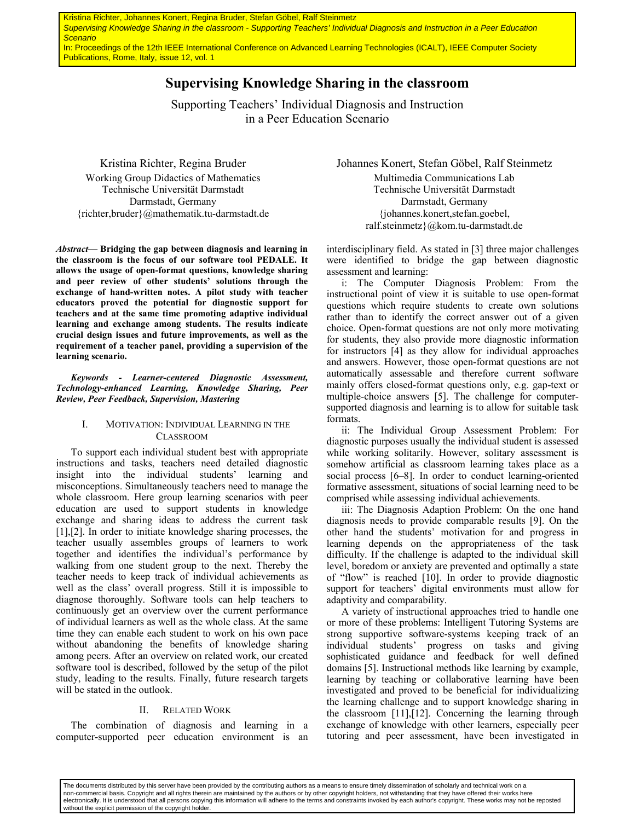Kristina Richter, Johannes Konert, Regina Bruder, Stefan Göbel, Ralf Steinmetz Supervising Knowledge Sharing in the classroom - Supporting Teachers' Individual Diagnosis and Instruction in a Peer Education **Scenario** In: Proceedings of the 12th IEEE International Conference on Advanced Learning Technologies (ICALT), IEEE Computer Society Publications, Rome, Italy, issue 12, vol. 1

# **Supervising Knowledge Sharing in the classroom**

Supporting Teachers' Individual Diagnosis and Instruction in a Peer Education Scenario

Kristina Richter, Regina Bruder Working Group Didactics of Mathematics Technische Universität Darmstadt Darmstadt, Germany {richter,bruder}@mathematik.tu-darmstadt.de

*Abstract***— Bridging the gap between diagnosis and learning in the classroom is the focus of our software tool PEDALE. It allows the usage of open-format questions, knowledge sharing and peer review of other students' solutions through the exchange of hand-written notes. A pilot study with teacher educators proved the potential for diagnostic support for teachers and at the same time promoting adaptive individual learning and exchange among students. The results indicate crucial design issues and future improvements, as well as the requirement of a teacher panel, providing a supervision of the learning scenario.** 

*Keywords - Learner-centered Diagnostic Assessment, Technology-enhanced Learning, Knowledge Sharing, Peer Review, Peer Feedback, Supervision, Mastering* 

# I. MOTIVATION: INDIVIDUAL LEARNING IN THE CLASSROOM

To support each individual student best with appropriate instructions and tasks, teachers need detailed diagnostic insight into the individual students' learning and misconceptions. Simultaneously teachers need to manage the whole classroom. Here group learning scenarios with peer education are used to support students in knowledge exchange and sharing ideas to address the current task [1], [2]. In order to initiate knowledge sharing processes, the teacher usually assembles groups of learners to work together and identifies the individual's performance by walking from one student group to the next. Thereby the teacher needs to keep track of individual achievements as well as the class' overall progress. Still it is impossible to diagnose thoroughly. Software tools can help teachers to continuously get an overview over the current performance of individual learners as well as the whole class. At the same time they can enable each student to work on his own pace without abandoning the benefits of knowledge sharing among peers. After an overview on related work, our created software tool is described, followed by the setup of the pilot study, leading to the results. Finally, future research targets will be stated in the outlook.

#### II. RELATED WORK

The combination of diagnosis and learning in a computer-supported peer education environment is an Johannes Konert, Stefan Göbel, Ralf Steinmetz Multimedia Communications Lab Technische Universität Darmstadt Darmstadt, Germany {johannes.konert,stefan.goebel, ralf.steinmetz}@kom.tu-darmstadt.de

interdisciplinary field. As stated in [3] three major challenges were identified to bridge the gap between diagnostic assessment and learning:

i: The Computer Diagnosis Problem: From the instructional point of view it is suitable to use open-format questions which require students to create own solutions rather than to identify the correct answer out of a given choice. Open-format questions are not only more motivating for students, they also provide more diagnostic information for instructors [4] as they allow for individual approaches and answers. However, those open-format questions are not automatically assessable and therefore current software mainly offers closed-format questions only, e.g. gap-text or multiple-choice answers [5]. The challenge for computersupported diagnosis and learning is to allow for suitable task formats.

ii: The Individual Group Assessment Problem: For diagnostic purposes usually the individual student is assessed while working solitarily. However, solitary assessment is somehow artificial as classroom learning takes place as a social process [6–8]. In order to conduct learning-oriented formative assessment, situations of social learning need to be comprised while assessing individual achievements.

iii: The Diagnosis Adaption Problem: On the one hand diagnosis needs to provide comparable results [9]. On the other hand the students' motivation for and progress in learning depends on the appropriateness of the task difficulty. If the challenge is adapted to the individual skill level, boredom or anxiety are prevented and optimally a state of "flow" is reached [10]. In order to provide diagnostic support for teachers' digital environments must allow for adaptivity and comparability.

A variety of instructional approaches tried to handle one or more of these problems: Intelligent Tutoring Systems are strong supportive software-systems keeping track of an individual students' progress on tasks and giving sophisticated guidance and feedback for well defined domains [5]. Instructional methods like learning by example, learning by teaching or collaborative learning have been investigated and proved to be beneficial for individualizing the learning challenge and to support knowledge sharing in the classroom [11],[12]. Concerning the learning through exchange of knowledge with other learners, especially peer tutoring and peer assessment, have been investigated in

The documents distributed by this server have been provided by the contributing authors as a means to ensure timely dissemination of scholarly and technical work on a non-commercial basis. Copyright and all rights therein are maintained by the authors or by other copyright holders, not withstanding that they have offered their works here electronically. It is understood that all persons copying this information will adhere to the terms and constraints invoked by each author's copyright. These works may not be reposted without the explicit permission of the copyright holder.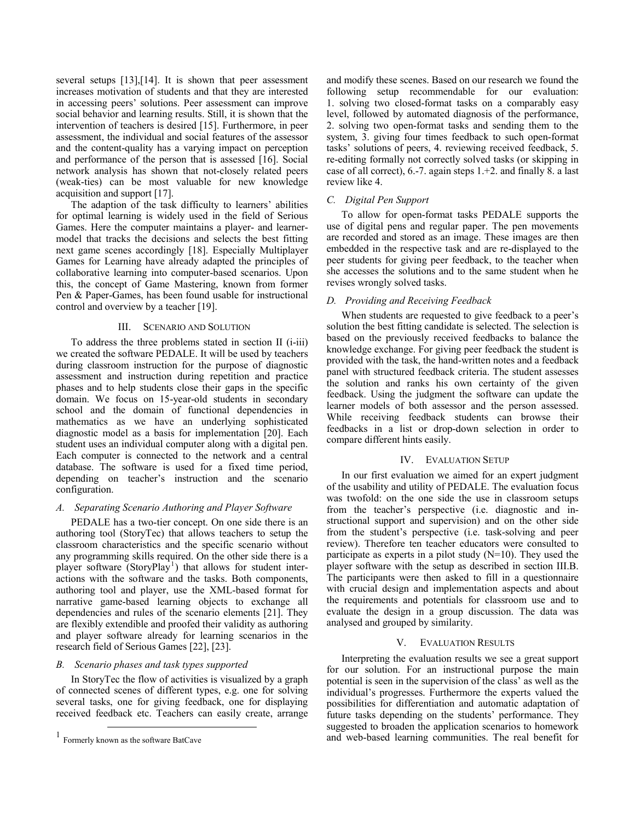several setups [13],[14]. It is shown that peer assessment increases motivation of students and that they are interested in accessing peers' solutions. Peer assessment can improve social behavior and learning results. Still, it is shown that the intervention of teachers is desired [15]. Furthermore, in peer assessment, the individual and social features of the assessor and the content-quality has a varying impact on perception and performance of the person that is assessed [16]. Social network analysis has shown that not-closely related peers (weak-ties) can be most valuable for new knowledge acquisition and support [17].

The adaption of the task difficulty to learners' abilities for optimal learning is widely used in the field of Serious Games. Here the computer maintains a player- and learnermodel that tracks the decisions and selects the best fitting next game scenes accordingly [18]. Especially Multiplayer Games for Learning have already adapted the principles of collaborative learning into computer-based scenarios. Upon this, the concept of Game Mastering, known from former Pen & Paper-Games, has been found usable for instructional control and overview by a teacher [19].

#### III. SCENARIO AND SOLUTION

To address the three problems stated in section II (i-iii) we created the software PEDALE. It will be used by teachers during classroom instruction for the purpose of diagnostic assessment and instruction during repetition and practice phases and to help students close their gaps in the specific domain. We focus on 15-year-old students in secondary school and the domain of functional dependencies in mathematics as we have an underlying sophisticated diagnostic model as a basis for implementation [20]. Each student uses an individual computer along with a digital pen. Each computer is connected to the network and a central database. The software is used for a fixed time period, depending on teacher's instruction and the scenario configuration.

#### *A. Separating Scenario Authoring and Player Software*

PEDALE has a two-tier concept. On one side there is an authoring tool (StoryTec) that allows teachers to setup the classroom characteristics and the specific scenario without any programming skills required. On the other side there is a player software (StoryPlay<sup>1</sup>) that allows for student interactions with the software and the tasks. Both components, authoring tool and player, use the XML-based format for narrative game-based learning objects to exchange all dependencies and rules of the scenario elements [21]. They are flexibly extendible and proofed their validity as authoring and player software already for learning scenarios in the research field of Serious Games [22], [23].

#### *B. Scenario phases and task types supported*

In StoryTec the flow of activities is visualized by a graph of connected scenes of different types, e.g. one for solving several tasks, one for giving feedback, one for displaying received feedback etc. Teachers can easily create, arrange

and modify these scenes. Based on our research we found the following setup recommendable for our evaluation: 1. solving two closed-format tasks on a comparably easy level, followed by automated diagnosis of the performance, 2. solving two open-format tasks and sending them to the system, 3. giving four times feedback to such open-format tasks' solutions of peers, 4. reviewing received feedback, 5. re-editing formally not correctly solved tasks (or skipping in case of all correct), 6.-7. again steps 1.+2. and finally 8. a last review like 4.

### *C. Digital Pen Support*

To allow for open-format tasks PEDALE supports the use of digital pens and regular paper. The pen movements are recorded and stored as an image. These images are then embedded in the respective task and are re-displayed to the peer students for giving peer feedback, to the teacher when she accesses the solutions and to the same student when he revises wrongly solved tasks.

# *D. Providing and Receiving Feedback*

When students are requested to give feedback to a peer's solution the best fitting candidate is selected. The selection is based on the previously received feedbacks to balance the knowledge exchange. For giving peer feedback the student is provided with the task, the hand-written notes and a feedback panel with structured feedback criteria. The student assesses the solution and ranks his own certainty of the given feedback. Using the judgment the software can update the learner models of both assessor and the person assessed. While receiving feedback students can browse their feedbacks in a list or drop-down selection in order to compare different hints easily.

#### IV. EVALUATION SETUP

In our first evaluation we aimed for an expert judgment of the usability and utility of PEDALE. The evaluation focus was twofold: on the one side the use in classroom setups from the teacher's perspective (i.e. diagnostic and instructional support and supervision) and on the other side from the student's perspective (i.e. task-solving and peer review). Therefore ten teacher educators were consulted to participate as experts in a pilot study  $(N=10)$ . They used the player software with the setup as described in section III.B. The participants were then asked to fill in a questionnaire with crucial design and implementation aspects and about the requirements and potentials for classroom use and to evaluate the design in a group discussion. The data was analysed and grouped by similarity.

#### V. EVALUATION RESULTS

Interpreting the evaluation results we see a great support for our solution. For an instructional purpose the main potential is seen in the supervision of the class' as well as the individual's progresses. Furthermore the experts valued the possibilities for differentiation and automatic adaptation of future tasks depending on the students' performance. They suggested to broaden the application scenarios to homework and web-based learning communities. The real benefit for

<sup>&</sup>lt;sup>1</sup> Formerly known as the software BatCave